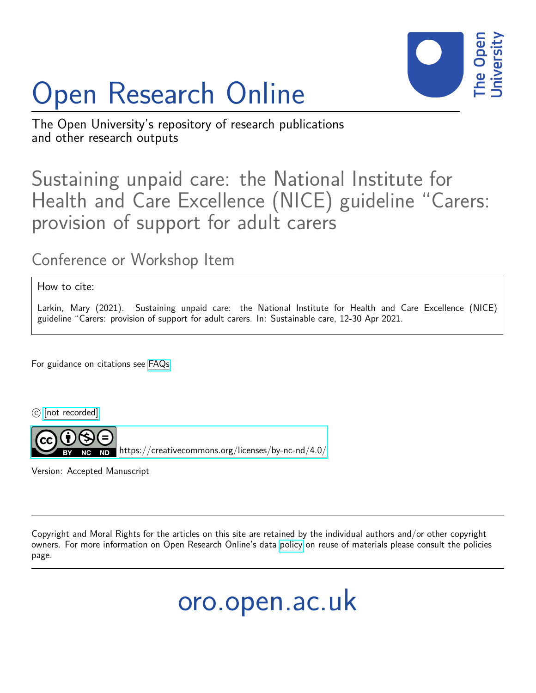

## Open Research Online

The Open University's repository of research publications and other research outputs

#### Sustaining unpaid care: the National Institute for Health and Care Excellence (NICE) guideline "Carers: provision of support for adult carers

#### Conference or Workshop Item

How to cite:

Larkin, Mary (2021). Sustaining unpaid care: the National Institute for Health and Care Excellence (NICE) guideline "Carers: provision of support for adult carers. In: Sustainable care, 12-30 Apr 2021.

For guidance on citations see [FAQs.](http://oro.open.ac.uk/help/helpfaq.html)

 $\circled{c}$  [\[not recorded\]](http://oro.open.ac.uk/help/helpfaq.html#Unrecorded_information_on_coversheet)

<https://creativecommons.org/licenses/by-nc-nd/4.0/>

Version: Accepted Manuscript

Copyright and Moral Rights for the articles on this site are retained by the individual authors and/or other copyright owners. For more information on Open Research Online's data [policy](http://oro.open.ac.uk/policies.html) on reuse of materials please consult the policies page.

oro.open.ac.uk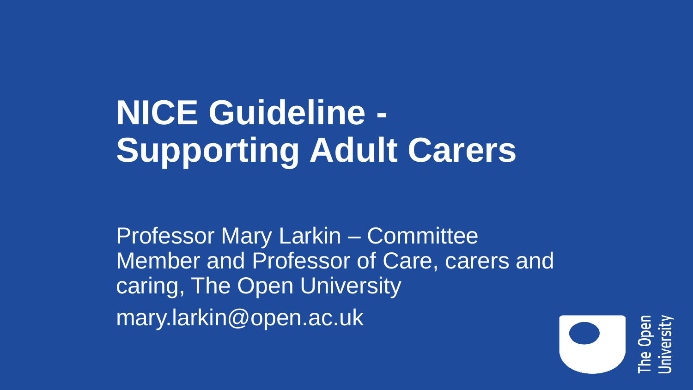# **NICE Guideline - Supporting Adult Carers**

Professor Mary Larkin – Committee Member and Professor of Care, carers and caring, The Open University mary.larkin@open.ac.uk

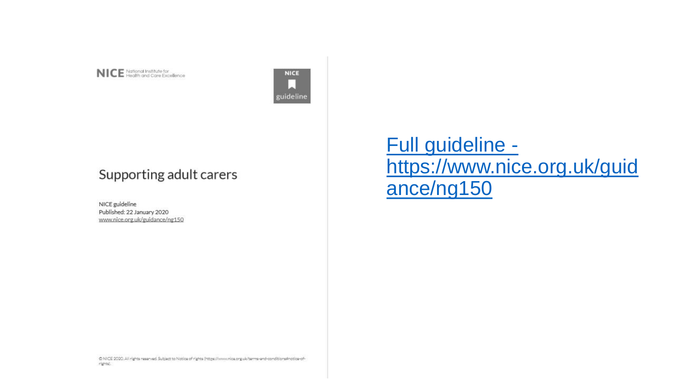

**NICE** guideline

#### Supporting adult carers

NICE guideline Published: 22 January 2020 www.nice.org.uk/guidance/ng150

Full guideline [https://www.nice.org.uk/guid](https://www.nice.org.uk/guidance/ng150) ance/ng150

@ NICE 2020, All rights reserved. Subject to Notice of rights (https://www.nice.org.uk/terms-and-conditions#notice-ofrights).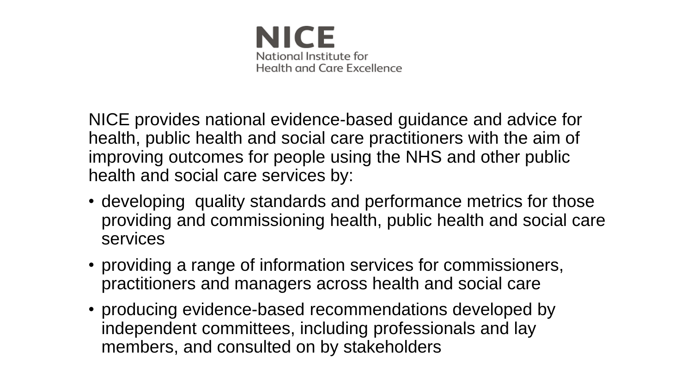

NICE provides national evidence-based guidance and advice for health, public health and social care practitioners with the aim of improving outcomes for people using the NHS and other public health and social care services by:

- developing quality standards and performance metrics for those providing and commissioning health, public health and social care services
- providing a range of information services for commissioners, practitioners and managers across health and social care
- producing evidence-based recommendations developed by independent committees, including professionals and lay members, and consulted on by stakeholders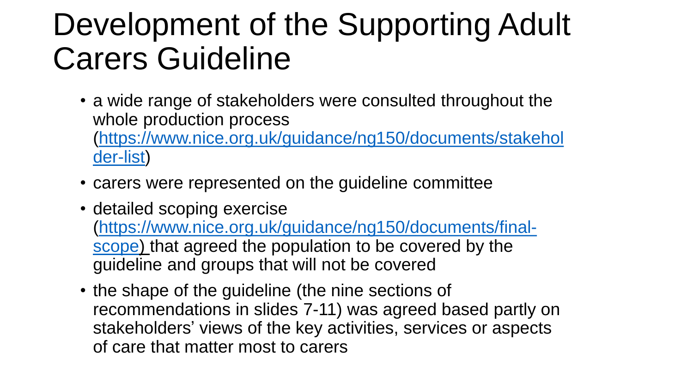## Development of the Supporting Adult Carers Guideline

- a wide range of stakeholders were consulted throughout the whole production process [\(https://www.nice.org.uk/guidance/ng150/documents/stakehol](https://www.nice.org.uk/guidance/ng150/documents/stakeholder-list) der-list)
- carers were represented on the guideline committee
- detailed scoping exercise (https://www.nice.org.uk/guidance/ng150/documents/finalscope) that agreed the population to be covered by the guideline and groups that will not be covered
- the shape of the guideline (the nine sections of recommendations in slides 7-11) was agreed based partly on stakeholders' views of the key activities, services or aspects of care that matter most to carers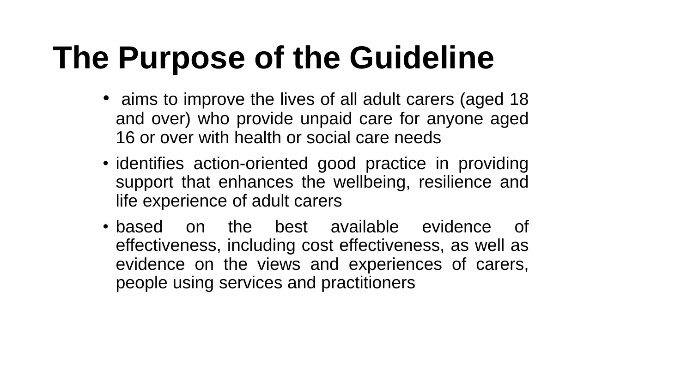# **The Purpose of the Guideline**

- aims to improve the lives of all adult carers (aged 18 and over) who provide unpaid care for anyone aged 16 or over with health or social care needs
- identifies action-oriented good practice in providing support that enhances the wellbeing, resilience and life experience of adult carers
- based on the best available evidence of effectiveness, including cost effectiveness, as well as evidence on the views and experiences of carers, people using services and practitioners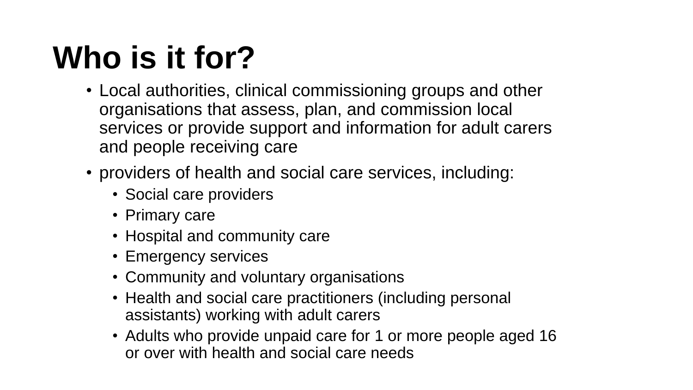# **Who is it for?**

- Local authorities, clinical commissioning groups and other organisations that assess, plan, and commission local services or provide support and information for adult carers and people receiving care
- providers of health and social care services, including:
	- Social care providers
	- Primary care
	- Hospital and community care
	- Emergency services
	- Community and voluntary organisations
	- Health and social care practitioners (including personal assistants) working with adult carers
	- Adults who provide unpaid care for 1 or more people aged 16 or over with health and social care needs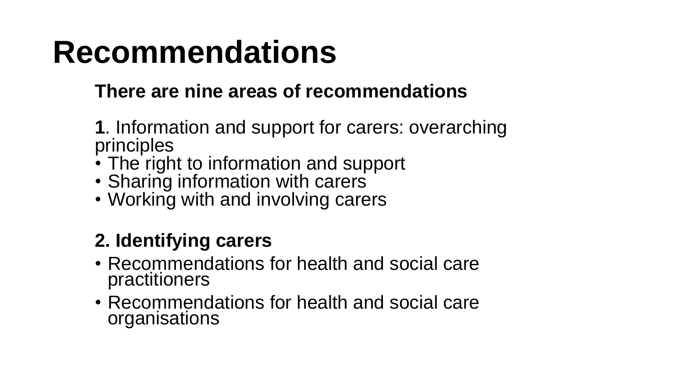# **Recommendations**

### **There are nine areas of recommendations**

**1**. Information and support for carers: overarching principles

- The right to information and support
- Sharing information with carers
- Working with and involving carers

### **2. Identifying carers**

- Recommendations for health and social care practitioners
- Recommendations for health and social care organisations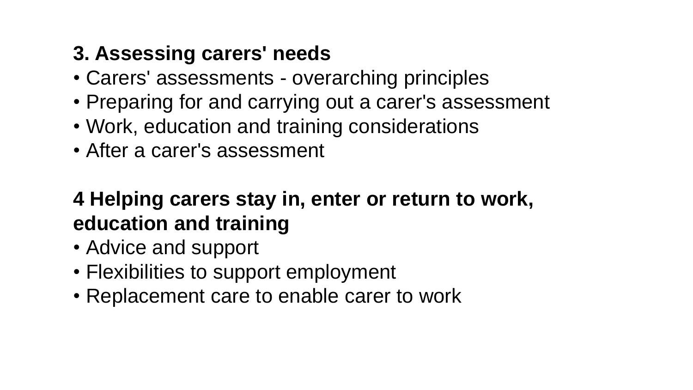### **3. Assessing carers' needs**

- Carers' assessments overarching principles
- Preparing for and carrying out a carer's assessment
- Work, education and training considerations
- After a carer's assessment

### **4 Helping carers stay in, enter or return to work, education and training**

- Advice and support
- Flexibilities to support employment
- Replacement care to enable carer to work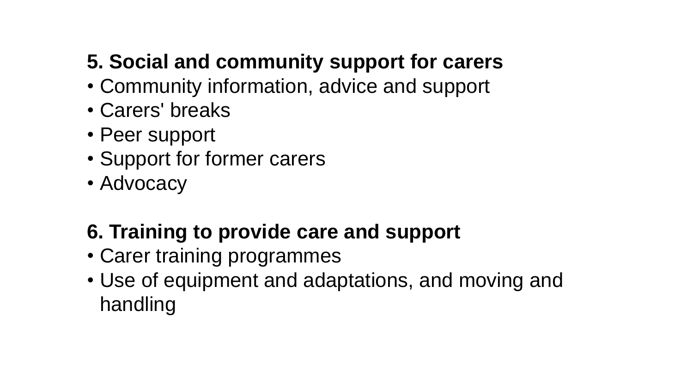## **5. Social and community support for carers**

- Community information, advice and support
- Carers' breaks
- Peer support
- Support for former carers
- Advocacy

### **6. Training to provide care and support**

- Carer training programmes
- Use of equipment and adaptations, and moving and handling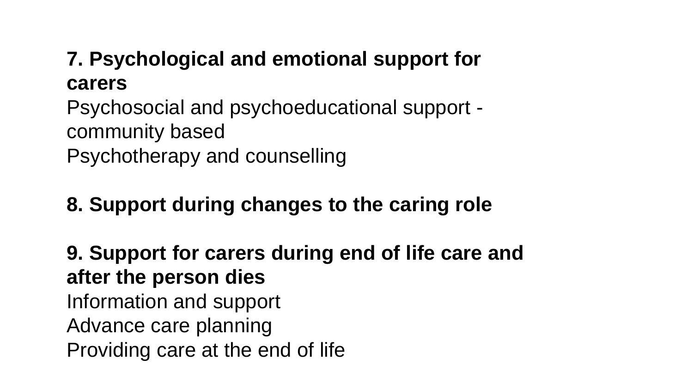### **7. Psychological and emotional support for carers**

Psychosocial and psychoeducational support community based Psychotherapy and counselling

### **8. Support during changes to the caring role**

### **9. Support for carers during end of life care and after the person dies** Information and support Advance care planning Providing care at the end of life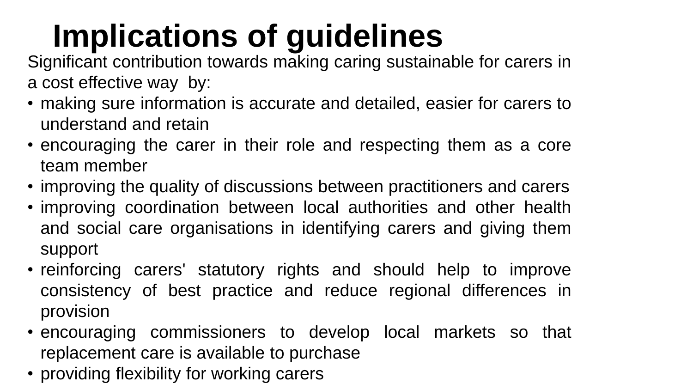# **Implications of guidelines**

Significant contribution towards making caring sustainable for carers in a cost effective way by:

- making sure information is accurate and detailed, easier for carers to understand and retain
- encouraging the carer in their role and respecting them as a core team member
- improving the quality of discussions between practitioners and carers
- improving coordination between local authorities and other health and social care organisations in identifying carers and giving them support
- reinforcing carers' statutory rights and should help to improve consistency of best practice and reduce regional differences in provision
- encouraging commissioners to develop local markets so that replacement care is available to purchase
- providing flexibility for working carers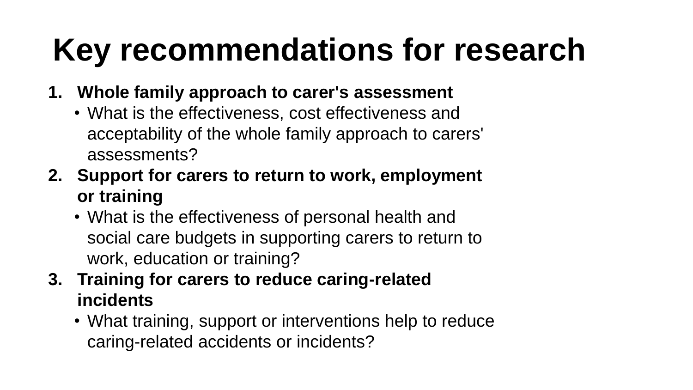# **Key recommendations for research**

- **1. Whole family approach to carer's assessment**
	- What is the effectiveness, cost effectiveness and acceptability of the whole family approach to carers' assessments?
- **2. Support for carers to return to work, employment or training**
	- What is the effectiveness of personal health and social care budgets in supporting carers to return to work, education or training?
- **3. Training for carers to reduce caring-related incidents**
	- What training, support or interventions help to reduce caring-related accidents or incidents?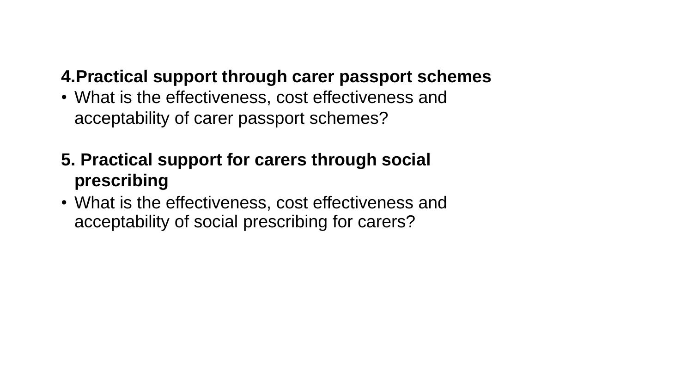#### **4.Practical support through carer passport schemes**

• What is the effectiveness, cost effectiveness and acceptability of carer passport schemes?

#### **5. Practical support for carers through social prescribing**

• What is the effectiveness, cost effectiveness and acceptability of social prescribing for carers?